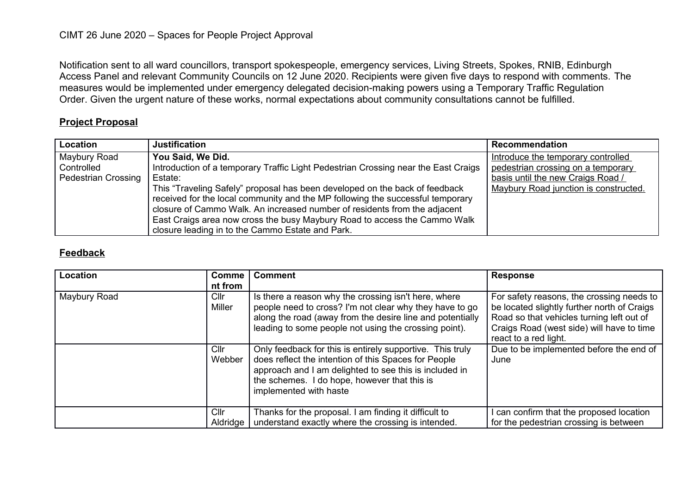Notification sent to all ward councillors, transport spokespeople, emergency services, Living Streets, Spokes, RNIB, Edinburgh Access Panel and relevant Community Councils on 12 June 2020. Recipients were given five days to respond with comments. The measures would be implemented under emergency delegated decision-making powers using a Temporary Traffic Regulation Order. Given the urgent nature of these works, normal expectations about community consultations cannot be fulfilled.

## **Project Proposal**

| Location                   | <b>Justification</b>                                                               | Recommendation                        |
|----------------------------|------------------------------------------------------------------------------------|---------------------------------------|
| Maybury Road               | You Said, We Did.                                                                  | Introduce the temporary controlled    |
| Controlled                 | Introduction of a temporary Traffic Light Pedestrian Crossing near the East Craigs | pedestrian crossing on a temporary    |
| <b>Pedestrian Crossing</b> | Estate:                                                                            | basis until the new Craigs Road /     |
|                            | This "Traveling Safely" proposal has been developed on the back of feedback        | Maybury Road junction is constructed. |
|                            | received for the local community and the MP following the successful temporary     |                                       |
|                            | closure of Cammo Walk. An increased number of residents from the adjacent          |                                       |
|                            | East Craigs area now cross the busy Maybury Road to access the Cammo Walk          |                                       |
|                            | closure leading in to the Cammo Estate and Park.                                   |                                       |

## **Feedback**

| Location     | <b>Comme</b><br>nt from | <b>Comment</b>                                                                                                                                                                                                                                        | <b>Response</b>                                                                                                                                                                                             |
|--------------|-------------------------|-------------------------------------------------------------------------------------------------------------------------------------------------------------------------------------------------------------------------------------------------------|-------------------------------------------------------------------------------------------------------------------------------------------------------------------------------------------------------------|
| Maybury Road | ClIr<br>Miller          | Is there a reason why the crossing isn't here, where<br>people need to cross? I'm not clear why they have to go<br>along the road (away from the desire line and potentially<br>leading to some people not using the crossing point).                 | For safety reasons, the crossing needs to<br>be located slightly further north of Craigs<br>Road so that vehicles turning left out of<br>Craigs Road (west side) will have to time<br>react to a red light. |
|              | Cllr<br>Webber          | Only feedback for this is entirely supportive. This truly<br>does reflect the intention of this Spaces for People<br>approach and I am delighted to see this is included in<br>the schemes. I do hope, however that this is<br>implemented with haste | Due to be implemented before the end of<br>June                                                                                                                                                             |
|              | ClIr<br>Aldridge        | Thanks for the proposal. I am finding it difficult to<br>understand exactly where the crossing is intended.                                                                                                                                           | can confirm that the proposed location<br>for the pedestrian crossing is between                                                                                                                            |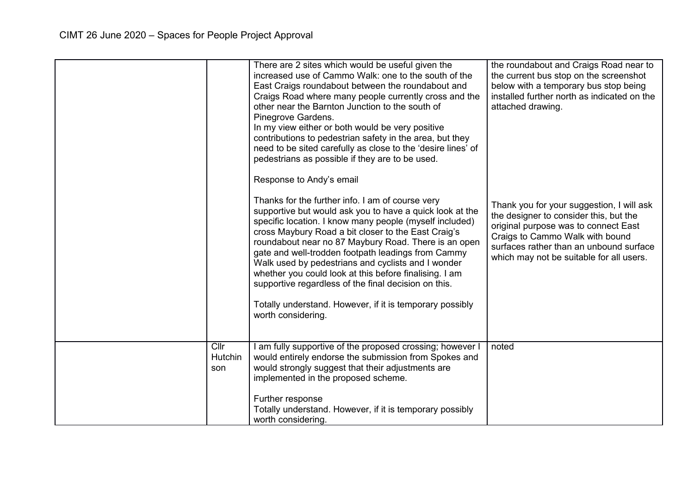|                        | There are 2 sites which would be useful given the<br>increased use of Cammo Walk: one to the south of the<br>East Craigs roundabout between the roundabout and<br>Craigs Road where many people currently cross and the<br>other near the Barnton Junction to the south of<br>Pinegrove Gardens.<br>In my view either or both would be very positive<br>contributions to pedestrian safety in the area, but they<br>need to be sited carefully as close to the 'desire lines' of<br>pedestrians as possible if they are to be used.<br>Response to Andy's email<br>Thanks for the further info. I am of course very<br>supportive but would ask you to have a quick look at the<br>specific location. I know many people (myself included)<br>cross Maybury Road a bit closer to the East Craig's<br>roundabout near no 87 Maybury Road. There is an open<br>gate and well-trodden footpath leadings from Cammy<br>Walk used by pedestrians and cyclists and I wonder<br>whether you could look at this before finalising. I am<br>supportive regardless of the final decision on this.<br>Totally understand. However, if it is temporary possibly<br>worth considering. | the roundabout and Craigs Road near to<br>the current bus stop on the screenshot<br>below with a temporary bus stop being<br>installed further north as indicated on the<br>attached drawing.<br>Thank you for your suggestion, I will ask<br>the designer to consider this, but the<br>original purpose was to connect East<br>Craigs to Cammo Walk with bound<br>surfaces rather than an unbound surface<br>which may not be suitable for all users. |
|------------------------|---------------------------------------------------------------------------------------------------------------------------------------------------------------------------------------------------------------------------------------------------------------------------------------------------------------------------------------------------------------------------------------------------------------------------------------------------------------------------------------------------------------------------------------------------------------------------------------------------------------------------------------------------------------------------------------------------------------------------------------------------------------------------------------------------------------------------------------------------------------------------------------------------------------------------------------------------------------------------------------------------------------------------------------------------------------------------------------------------------------------------------------------------------------------------|--------------------------------------------------------------------------------------------------------------------------------------------------------------------------------------------------------------------------------------------------------------------------------------------------------------------------------------------------------------------------------------------------------------------------------------------------------|
| ClIr<br>Hutchin<br>son | I am fully supportive of the proposed crossing; however I<br>would entirely endorse the submission from Spokes and<br>would strongly suggest that their adjustments are<br>implemented in the proposed scheme.<br>Further response<br>Totally understand. However, if it is temporary possibly<br>worth considering.                                                                                                                                                                                                                                                                                                                                                                                                                                                                                                                                                                                                                                                                                                                                                                                                                                                      | noted                                                                                                                                                                                                                                                                                                                                                                                                                                                  |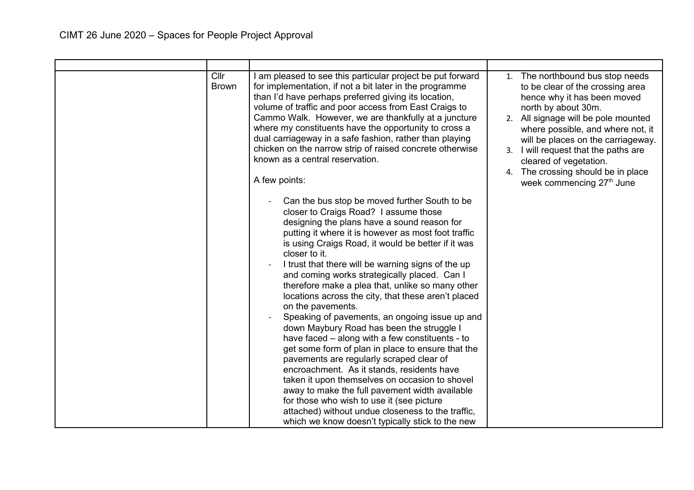| Cllr<br><b>Brown</b> | I am pleased to see this particular project be put forward<br>for implementation, if not a bit later in the programme<br>than I'd have perhaps preferred giving its location,<br>volume of traffic and poor access from East Craigs to<br>Cammo Walk. However, we are thankfully at a juncture<br>where my constituents have the opportunity to cross a<br>dual carriageway in a safe fashion, rather than playing<br>chicken on the narrow strip of raised concrete otherwise<br>known as a central reservation.<br>A few points:<br>Can the bus stop be moved further South to be<br>closer to Craigs Road? I assume those<br>designing the plans have a sound reason for<br>putting it where it is however as most foot traffic<br>is using Craigs Road, it would be better if it was<br>closer to it.<br>I trust that there will be warning signs of the up<br>and coming works strategically placed. Can I<br>therefore make a plea that, unlike so many other<br>locations across the city, that these aren't placed<br>on the pavements.<br>Speaking of pavements, an ongoing issue up and<br>down Maybury Road has been the struggle I<br>have faced – along with a few constituents - to<br>get some form of plan in place to ensure that the<br>pavements are regularly scraped clear of<br>encroachment. As it stands, residents have<br>taken it upon themselves on occasion to shovel<br>away to make the full pavement width available<br>for those who wish to use it (see picture<br>attached) without undue closeness to the traffic, | 1. The northbound bus stop needs<br>to be clear of the crossing area<br>hence why it has been moved<br>north by about 30m.<br>2. All signage will be pole mounted<br>where possible, and where not, it<br>will be places on the carriageway.<br>3. I will request that the paths are<br>cleared of vegetation.<br>4. The crossing should be in place<br>week commencing 27th June |
|----------------------|--------------------------------------------------------------------------------------------------------------------------------------------------------------------------------------------------------------------------------------------------------------------------------------------------------------------------------------------------------------------------------------------------------------------------------------------------------------------------------------------------------------------------------------------------------------------------------------------------------------------------------------------------------------------------------------------------------------------------------------------------------------------------------------------------------------------------------------------------------------------------------------------------------------------------------------------------------------------------------------------------------------------------------------------------------------------------------------------------------------------------------------------------------------------------------------------------------------------------------------------------------------------------------------------------------------------------------------------------------------------------------------------------------------------------------------------------------------------------------------------------------------------------------------------------------|-----------------------------------------------------------------------------------------------------------------------------------------------------------------------------------------------------------------------------------------------------------------------------------------------------------------------------------------------------------------------------------|
|                      | which we know doesn't typically stick to the new                                                                                                                                                                                                                                                                                                                                                                                                                                                                                                                                                                                                                                                                                                                                                                                                                                                                                                                                                                                                                                                                                                                                                                                                                                                                                                                                                                                                                                                                                                       |                                                                                                                                                                                                                                                                                                                                                                                   |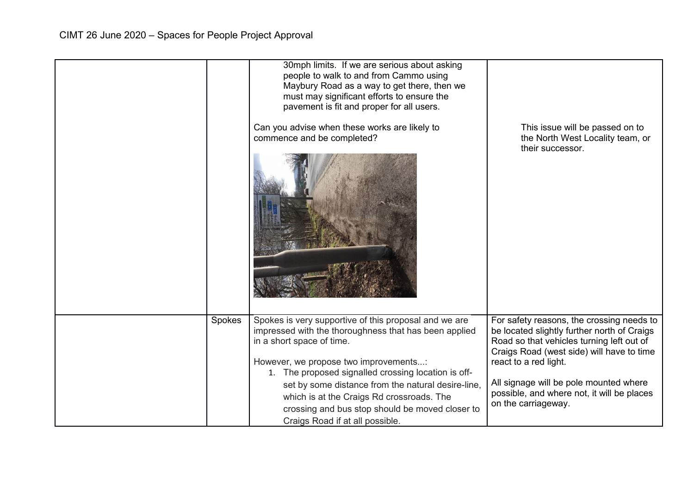|        | 30mph limits. If we are serious about asking<br>people to walk to and from Cammo using<br>Maybury Road as a way to get there, then we<br>must may significant efforts to ensure the<br>pavement is fit and proper for all users.<br>Can you advise when these works are likely to<br>commence and be completed?                                                                                                                      | This issue will be passed on to<br>the North West Locality team, or<br>their successor.                                                                                                                                                                                                                                    |
|--------|--------------------------------------------------------------------------------------------------------------------------------------------------------------------------------------------------------------------------------------------------------------------------------------------------------------------------------------------------------------------------------------------------------------------------------------|----------------------------------------------------------------------------------------------------------------------------------------------------------------------------------------------------------------------------------------------------------------------------------------------------------------------------|
| Spokes | Spokes is very supportive of this proposal and we are<br>impressed with the thoroughness that has been applied<br>in a short space of time.<br>However, we propose two improvements:<br>1. The proposed signalled crossing location is off-<br>set by some distance from the natural desire-line,<br>which is at the Craigs Rd crossroads. The<br>crossing and bus stop should be moved closer to<br>Craigs Road if at all possible. | For safety reasons, the crossing needs to<br>be located slightly further north of Craigs<br>Road so that vehicles turning left out of<br>Craigs Road (west side) will have to time<br>react to a red light.<br>All signage will be pole mounted where<br>possible, and where not, it will be places<br>on the carriageway. |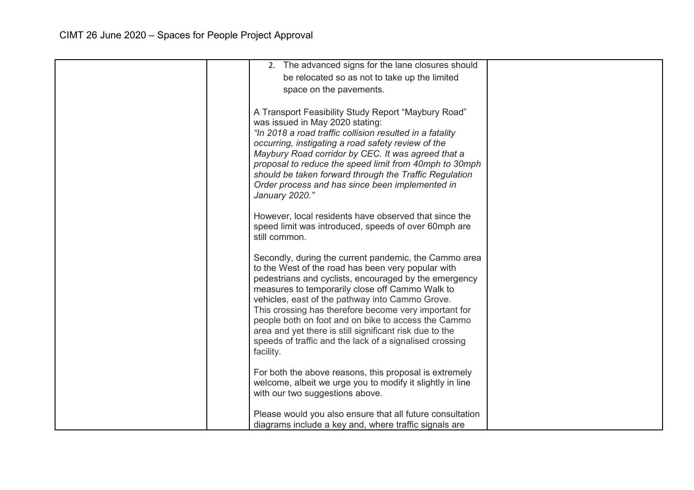| 2. The advanced signs for the lane closures should        |  |
|-----------------------------------------------------------|--|
| be relocated so as not to take up the limited             |  |
| space on the pavements.                                   |  |
|                                                           |  |
| A Transport Feasibility Study Report "Maybury Road"       |  |
| was issued in May 2020 stating:                           |  |
| "In 2018 a road traffic collision resulted in a fatality  |  |
| occurring, instigating a road safety review of the        |  |
|                                                           |  |
| Maybury Road corridor by CEC. It was agreed that a        |  |
| proposal to reduce the speed limit from 40mph to 30mph    |  |
| should be taken forward through the Traffic Regulation    |  |
| Order process and has since been implemented in           |  |
| January 2020."                                            |  |
|                                                           |  |
| However, local residents have observed that since the     |  |
| speed limit was introduced, speeds of over 60mph are      |  |
| still common.                                             |  |
|                                                           |  |
| Secondly, during the current pandemic, the Cammo area     |  |
| to the West of the road has been very popular with        |  |
| pedestrians and cyclists, encouraged by the emergency     |  |
| measures to temporarily close off Cammo Walk to           |  |
| vehicles, east of the pathway into Cammo Grove.           |  |
| This crossing has therefore become very important for     |  |
| people both on foot and on bike to access the Cammo       |  |
| area and yet there is still significant risk due to the   |  |
| speeds of traffic and the lack of a signalised crossing   |  |
| facility.                                                 |  |
|                                                           |  |
| For both the above reasons, this proposal is extremely    |  |
| welcome, albeit we urge you to modify it slightly in line |  |
| with our two suggestions above.                           |  |
|                                                           |  |
| Please would you also ensure that all future consultation |  |
|                                                           |  |
| diagrams include a key and, where traffic signals are     |  |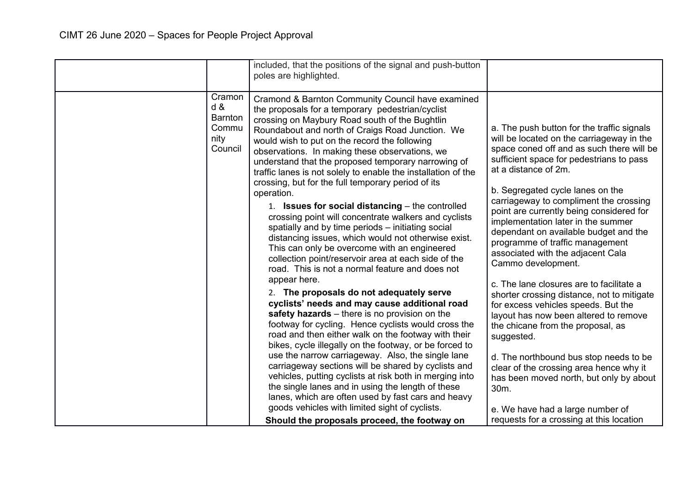|                                                      | included, that the positions of the signal and push-button<br>poles are highlighted.                                                                                                                                                                                                                                                                                                                                                                                                                                                                                                                                                                                                                                                                                                                                                                                                                                                                                                                                                                                                                                                                                                                                                                                                                                                                                                                                                                                                                                                                                                                                     |                                                                                                                                                                                                                                                                                                                                                                                                                                                                                                                                                                                                                                                                                                                                                                                                                                                                                                                                                                      |
|------------------------------------------------------|--------------------------------------------------------------------------------------------------------------------------------------------------------------------------------------------------------------------------------------------------------------------------------------------------------------------------------------------------------------------------------------------------------------------------------------------------------------------------------------------------------------------------------------------------------------------------------------------------------------------------------------------------------------------------------------------------------------------------------------------------------------------------------------------------------------------------------------------------------------------------------------------------------------------------------------------------------------------------------------------------------------------------------------------------------------------------------------------------------------------------------------------------------------------------------------------------------------------------------------------------------------------------------------------------------------------------------------------------------------------------------------------------------------------------------------------------------------------------------------------------------------------------------------------------------------------------------------------------------------------------|----------------------------------------------------------------------------------------------------------------------------------------------------------------------------------------------------------------------------------------------------------------------------------------------------------------------------------------------------------------------------------------------------------------------------------------------------------------------------------------------------------------------------------------------------------------------------------------------------------------------------------------------------------------------------------------------------------------------------------------------------------------------------------------------------------------------------------------------------------------------------------------------------------------------------------------------------------------------|
| Cramon<br>d &<br>Barnton<br>Commu<br>nity<br>Council | Cramond & Barnton Community Council have examined<br>the proposals for a temporary pedestrian/cyclist<br>crossing on Maybury Road south of the Bughtlin<br>Roundabout and north of Craigs Road Junction. We<br>would wish to put on the record the following<br>observations. In making these observations, we<br>understand that the proposed temporary narrowing of<br>traffic lanes is not solely to enable the installation of the<br>crossing, but for the full temporary period of its<br>operation.<br>1. Issues for social distancing - the controlled<br>crossing point will concentrate walkers and cyclists<br>spatially and by time periods - initiating social<br>distancing issues, which would not otherwise exist.<br>This can only be overcome with an engineered<br>collection point/reservoir area at each side of the<br>road. This is not a normal feature and does not<br>appear here.<br>2. The proposals do not adequately serve<br>cyclists' needs and may cause additional road<br>safety hazards $-$ there is no provision on the<br>footway for cycling. Hence cyclists would cross the<br>road and then either walk on the footway with their<br>bikes, cycle illegally on the footway, or be forced to<br>use the narrow carriageway. Also, the single lane<br>carriageway sections will be shared by cyclists and<br>vehicles, putting cyclists at risk both in merging into<br>the single lanes and in using the length of these<br>lanes, which are often used by fast cars and heavy<br>goods vehicles with limited sight of cyclists.<br>Should the proposals proceed, the footway on | a. The push button for the traffic signals<br>will be located on the carriageway in the<br>space coned off and as such there will be<br>sufficient space for pedestrians to pass<br>at a distance of 2m.<br>b. Segregated cycle lanes on the<br>carriageway to compliment the crossing<br>point are currently being considered for<br>implementation later in the summer<br>dependant on available budget and the<br>programme of traffic management<br>associated with the adjacent Cala<br>Cammo development.<br>c. The lane closures are to facilitate a<br>shorter crossing distance, not to mitigate<br>for excess vehicles speeds. But the<br>layout has now been altered to remove<br>the chicane from the proposal, as<br>suggested.<br>d. The northbound bus stop needs to be<br>clear of the crossing area hence why it<br>has been moved north, but only by about<br>30m.<br>e. We have had a large number of<br>requests for a crossing at this location |
|                                                      |                                                                                                                                                                                                                                                                                                                                                                                                                                                                                                                                                                                                                                                                                                                                                                                                                                                                                                                                                                                                                                                                                                                                                                                                                                                                                                                                                                                                                                                                                                                                                                                                                          |                                                                                                                                                                                                                                                                                                                                                                                                                                                                                                                                                                                                                                                                                                                                                                                                                                                                                                                                                                      |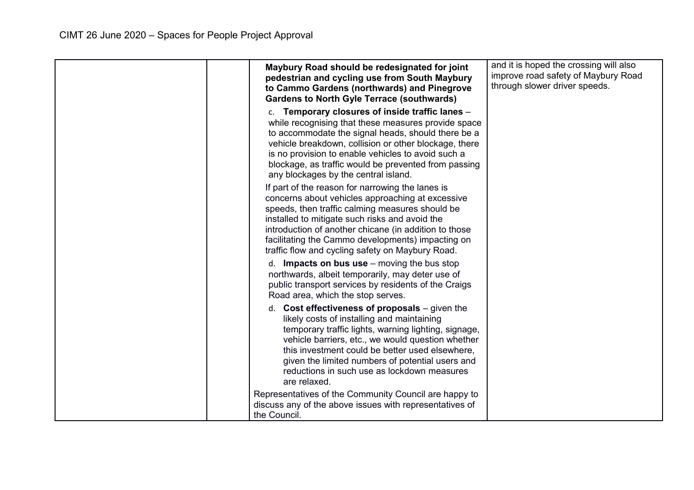| Maybury Road should be redesignated for joint<br>pedestrian and cycling use from South Maybury<br>to Cammo Gardens (northwards) and Pinegrove<br><b>Gardens to North Gyle Terrace (southwards)</b>                                                                                                                                                                                | and it is hoped the crossing will also<br>improve road safety of Maybury Road<br>through slower driver speeds. |
|-----------------------------------------------------------------------------------------------------------------------------------------------------------------------------------------------------------------------------------------------------------------------------------------------------------------------------------------------------------------------------------|----------------------------------------------------------------------------------------------------------------|
| c. Temporary closures of inside traffic lanes -<br>while recognising that these measures provide space<br>to accommodate the signal heads, should there be a<br>vehicle breakdown, collision or other blockage, there<br>is no provision to enable vehicles to avoid such a<br>blockage, as traffic would be prevented from passing<br>any blockages by the central island.       |                                                                                                                |
| If part of the reason for narrowing the lanes is<br>concerns about vehicles approaching at excessive<br>speeds, then traffic calming measures should be<br>installed to mitigate such risks and avoid the<br>introduction of another chicane (in addition to those<br>facilitating the Cammo developments) impacting on<br>traffic flow and cycling safety on Maybury Road.       |                                                                                                                |
| d. <b>Impacts on bus use</b> $-$ moving the bus stop<br>northwards, albeit temporarily, may deter use of<br>public transport services by residents of the Craigs<br>Road area, which the stop serves.                                                                                                                                                                             |                                                                                                                |
| d. Cost effectiveness of proposals $-$ given the<br>likely costs of installing and maintaining<br>temporary traffic lights, warning lighting, signage,<br>vehicle barriers, etc., we would question whether<br>this investment could be better used elsewhere,<br>given the limited numbers of potential users and<br>reductions in such use as lockdown measures<br>are relaxed. |                                                                                                                |
| Representatives of the Community Council are happy to<br>discuss any of the above issues with representatives of<br>the Council.                                                                                                                                                                                                                                                  |                                                                                                                |